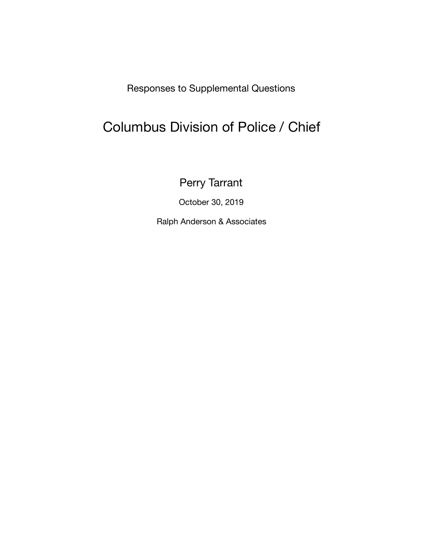Responses to Supplemental Questions

# Columbus Division of Police / Chief

Perry Tarrant

October 30, 2019

Ralph Anderson & Associates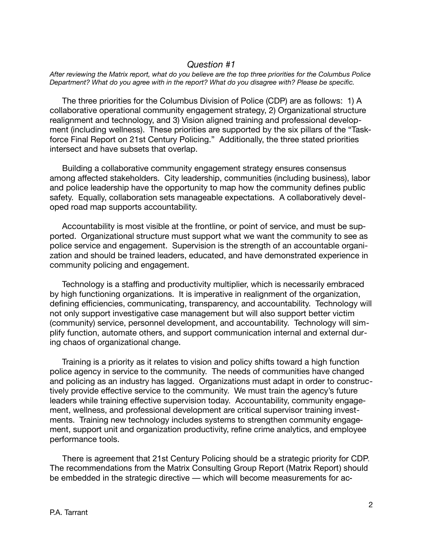#### *Question #1*

*After reviewing the Matrix report, what do you believe are the top three priorities for the Columbus Police Department? What do you agree with in the report? What do you disagree with? Please be specific.* 

The three priorities for the Columbus Division of Police (CDP) are as follows: 1) A collaborative operational community engagement strategy, 2) Organizational structure realignment and technology, and 3) Vision aligned training and professional development (including wellness). These priorities are supported by the six pillars of the "Taskforce Final Report on 21st Century Policing." Additionally, the three stated priorities intersect and have subsets that overlap.

Building a collaborative community engagement strategy ensures consensus among affected stakeholders. City leadership, communities (including business), labor and police leadership have the opportunity to map how the community defines public safety. Equally, collaboration sets manageable expectations. A collaboratively developed road map supports accountability.

Accountability is most visible at the frontline, or point of service, and must be supported. Organizational structure must support what we want the community to see as police service and engagement. Supervision is the strength of an accountable organization and should be trained leaders, educated, and have demonstrated experience in community policing and engagement.

Technology is a staffing and productivity multiplier, which is necessarily embraced by high functioning organizations. It is imperative in realignment of the organization, defining efficiencies, communicating, transparency, and accountability. Technology will not only support investigative case management but will also support better victim (community) service, personnel development, and accountability. Technology will simplify function, automate others, and support communication internal and external during chaos of organizational change.

Training is a priority as it relates to vision and policy shifts toward a high function police agency in service to the community. The needs of communities have changed and policing as an industry has lagged. Organizations must adapt in order to constructively provide effective service to the community. We must train the agency's future leaders while training effective supervision today. Accountability, community engagement, wellness, and professional development are critical supervisor training investments. Training new technology includes systems to strengthen community engagement, support unit and organization productivity, refine crime analytics, and employee performance tools.

 There is agreement that 21st Century Policing should be a strategic priority for CDP. The recommendations from the Matrix Consulting Group Report (Matrix Report) should be embedded in the strategic directive — which will become measurements for ac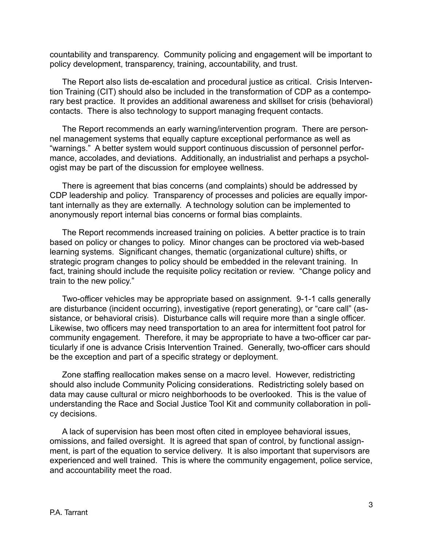countability and transparency. Community policing and engagement will be important to policy development, transparency, training, accountability, and trust.

 The Report also lists de-escalation and procedural justice as critical. Crisis Intervention Training (CIT) should also be included in the transformation of CDP as a contemporary best practice. It provides an additional awareness and skillset for crisis (behavioral) contacts. There is also technology to support managing frequent contacts.

 The Report recommends an early warning/intervention program. There are personnel management systems that equally capture exceptional performance as well as "warnings." A better system would support continuous discussion of personnel performance, accolades, and deviations. Additionally, an industrialist and perhaps a psychologist may be part of the discussion for employee wellness.

 There is agreement that bias concerns (and complaints) should be addressed by CDP leadership and policy. Transparency of processes and policies are equally important internally as they are externally. A technology solution can be implemented to anonymously report internal bias concerns or formal bias complaints.

 The Report recommends increased training on policies. A better practice is to train based on policy or changes to policy. Minor changes can be proctored via web-based learning systems. Significant changes, thematic (organizational culture) shifts, or strategic program changes to policy should be embedded in the relevant training. In fact, training should include the requisite policy recitation or review. "Change policy and train to the new policy."

 Two-officer vehicles may be appropriate based on assignment. 9-1-1 calls generally are disturbance (incident occurring), investigative (report generating), or "care call" (assistance, or behavioral crisis). Disturbance calls will require more than a single officer. Likewise, two officers may need transportation to an area for intermittent foot patrol for community engagement. Therefore, it may be appropriate to have a two-officer car particularly if one is advance Crisis Intervention Trained. Generally, two-officer cars should be the exception and part of a specific strategy or deployment.

 Zone staffing reallocation makes sense on a macro level. However, redistricting should also include Community Policing considerations. Redistricting solely based on data may cause cultural or micro neighborhoods to be overlooked. This is the value of understanding the Race and Social Justice Tool Kit and community collaboration in policy decisions.

 A lack of supervision has been most often cited in employee behavioral issues, omissions, and failed oversight. It is agreed that span of control, by functional assignment, is part of the equation to service delivery. It is also important that supervisors are experienced and well trained. This is where the community engagement, police service, and accountability meet the road.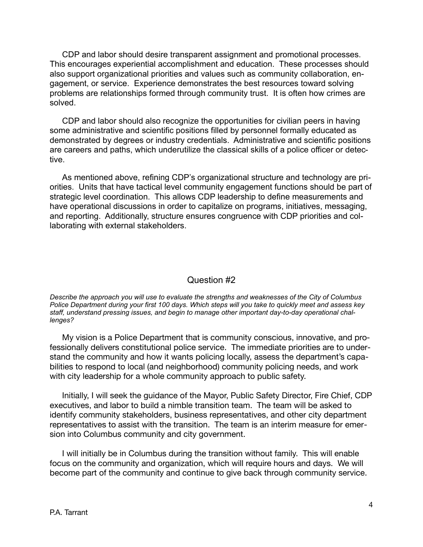CDP and labor should desire transparent assignment and promotional processes. This encourages experiential accomplishment and education. These processes should also support organizational priorities and values such as community collaboration, engagement, or service. Experience demonstrates the best resources toward solving problems are relationships formed through community trust. It is often how crimes are solved.

 CDP and labor should also recognize the opportunities for civilian peers in having some administrative and scientific positions filled by personnel formally educated as demonstrated by degrees or industry credentials. Administrative and scientific positions are careers and paths, which underutilize the classical skills of a police officer or detective.

 As mentioned above, refining CDP's organizational structure and technology are priorities. Units that have tactical level community engagement functions should be part of strategic level coordination. This allows CDP leadership to define measurements and have operational discussions in order to capitalize on programs, initiatives, messaging, and reporting. Additionally, structure ensures congruence with CDP priorities and collaborating with external stakeholders.

## Question #2

*Describe the approach you will use to evaluate the strengths and weaknesses of the City of Columbus Police Department during your first 100 days. Which steps will you take to quickly meet and assess key staff, understand pressing issues, and begin to manage other important day-to-day operational challenges?* 

My vision is a Police Department that is community conscious, innovative, and professionally delivers constitutional police service. The immediate priorities are to understand the community and how it wants policing locally, assess the department's capabilities to respond to local (and neighborhood) community policing needs, and work with city leadership for a whole community approach to public safety.

Initially, I will seek the guidance of the Mayor, Public Safety Director, Fire Chief, CDP executives, and labor to build a nimble transition team. The team will be asked to identify community stakeholders, business representatives, and other city department representatives to assist with the transition. The team is an interim measure for emersion into Columbus community and city government.

I will initially be in Columbus during the transition without family. This will enable focus on the community and organization, which will require hours and days. We will become part of the community and continue to give back through community service.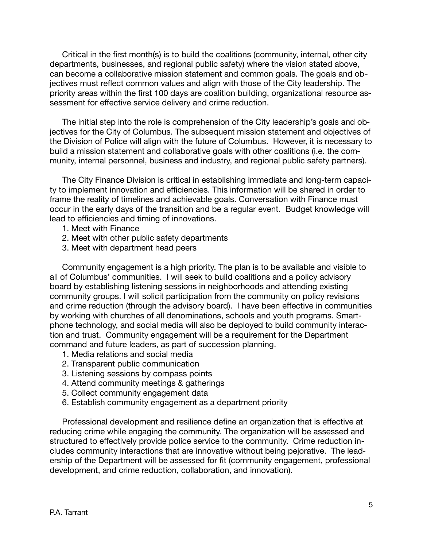Critical in the first month(s) is to build the coalitions (community, internal, other city departments, businesses, and regional public safety) where the vision stated above, can become a collaborative mission statement and common goals. The goals and objectives must reflect common values and align with those of the City leadership. The priority areas within the first 100 days are coalition building, organizational resource assessment for effective service delivery and crime reduction.

The initial step into the role is comprehension of the City leadership's goals and objectives for the City of Columbus. The subsequent mission statement and objectives of the Division of Police will align with the future of Columbus. However, it is necessary to build a mission statement and collaborative goals with other coalitions (i.e. the community, internal personnel, business and industry, and regional public safety partners).

The City Finance Division is critical in establishing immediate and long-term capacity to implement innovation and efficiencies. This information will be shared in order to frame the reality of timelines and achievable goals. Conversation with Finance must occur in the early days of the transition and be a regular event. Budget knowledge will lead to efficiencies and timing of innovations.

- 1. Meet with Finance
- 2. Meet with other public safety departments
- 3. Meet with department head peers

Community engagement is a high priority. The plan is to be available and visible to all of Columbus' communities. I will seek to build coalitions and a policy advisory board by establishing listening sessions in neighborhoods and attending existing community groups. I will solicit participation from the community on policy revisions and crime reduction (through the advisory board). I have been effective in communities by working with churches of all denominations, schools and youth programs. Smartphone technology, and social media will also be deployed to build community interaction and trust. Community engagement will be a requirement for the Department command and future leaders, as part of succession planning.

- 1. Media relations and social media
- 2. Transparent public communication
- 3. Listening sessions by compass points
- 4. Attend community meetings & gatherings
- 5. Collect community engagement data
- 6. Establish community engagement as a department priority

Professional development and resilience define an organization that is effective at reducing crime while engaging the community. The organization will be assessed and structured to effectively provide police service to the community. Crime reduction includes community interactions that are innovative without being pejorative. The leadership of the Department will be assessed for fit (community engagement, professional development, and crime reduction, collaboration, and innovation).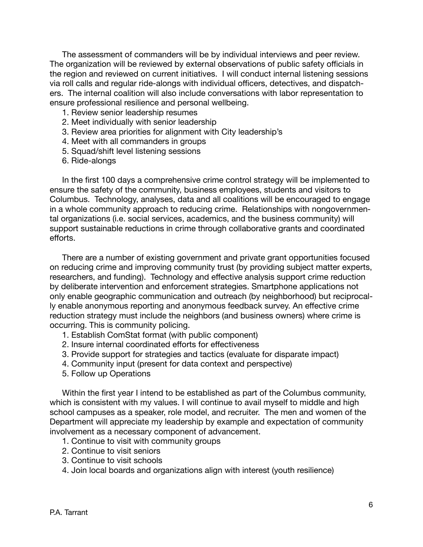The assessment of commanders will be by individual interviews and peer review. The organization will be reviewed by external observations of public safety officials in the region and reviewed on current initiatives. I will conduct internal listening sessions via roll calls and regular ride-alongs with individual officers, detectives, and dispatchers. The internal coalition will also include conversations with labor representation to ensure professional resilience and personal wellbeing.

- 1. Review senior leadership resumes
- 2. Meet individually with senior leadership
- 3. Review area priorities for alignment with City leadership's
- 4. Meet with all commanders in groups
- 5. Squad/shift level listening sessions
- 6. Ride-alongs

In the first 100 days a comprehensive crime control strategy will be implemented to ensure the safety of the community, business employees, students and visitors to Columbus. Technology, analyses, data and all coalitions will be encouraged to engage in a whole community approach to reducing crime. Relationships with nongovernmental organizations (i.e. social services, academics, and the business community) will support sustainable reductions in crime through collaborative grants and coordinated efforts.

There are a number of existing government and private grant opportunities focused on reducing crime and improving community trust (by providing subject matter experts, researchers, and funding). Technology and effective analysis support crime reduction by deliberate intervention and enforcement strategies. Smartphone applications not only enable geographic communication and outreach (by neighborhood) but reciprocally enable anonymous reporting and anonymous feedback survey. An effective crime reduction strategy must include the neighbors (and business owners) where crime is occurring. This is community policing.

- 1. Establish ComStat format (with public component)
- 2. Insure internal coordinated efforts for effectiveness
- 3. Provide support for strategies and tactics (evaluate for disparate impact)
- 4. Community input (present for data context and perspective)
- 5. Follow up Operations

Within the first year I intend to be established as part of the Columbus community, which is consistent with my values. I will continue to avail myself to middle and high school campuses as a speaker, role model, and recruiter. The men and women of the Department will appreciate my leadership by example and expectation of community involvement as a necessary component of advancement.

- 1. Continue to visit with community groups
- 2. Continue to visit seniors
- 3. Continue to visit schools
- 4. Join local boards and organizations align with interest (youth resilience)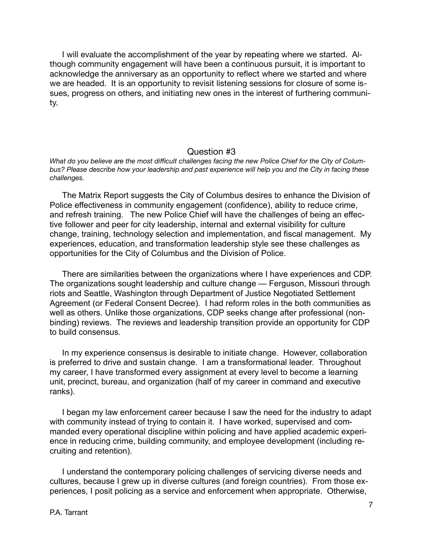I will evaluate the accomplishment of the year by repeating where we started. Although community engagement will have been a continuous pursuit, it is important to acknowledge the anniversary as an opportunity to reflect where we started and where we are headed. It is an opportunity to revisit listening sessions for closure of some issues, progress on others, and initiating new ones in the interest of furthering community.

#### Question #3

*What do you believe are the most difficult challenges facing the new Police Chief for the City of Columbus? Please describe how your leadership and past experience will help you and the City in facing these challenges.* 

 The Matrix Report suggests the City of Columbus desires to enhance the Division of Police effectiveness in community engagement (confidence), ability to reduce crime, and refresh training. The new Police Chief will have the challenges of being an effective follower and peer for city leadership, internal and external visibility for culture change, training, technology selection and implementation, and fiscal management. My experiences, education, and transformation leadership style see these challenges as opportunities for the City of Columbus and the Division of Police.

 There are similarities between the organizations where I have experiences and CDP. The organizations sought leadership and culture change — Ferguson, Missouri through riots and Seattle, Washington through Department of Justice Negotiated Settlement Agreement (or Federal Consent Decree). I had reform roles in the both communities as well as others. Unlike those organizations, CDP seeks change after professional (nonbinding) reviews. The reviews and leadership transition provide an opportunity for CDP to build consensus.

 In my experience consensus is desirable to initiate change. However, collaboration is preferred to drive and sustain change. I am a transformational leader. Throughout my career, I have transformed every assignment at every level to become a learning unit, precinct, bureau, and organization (half of my career in command and executive ranks).

 I began my law enforcement career because I saw the need for the industry to adapt with community instead of trying to contain it. I have worked, supervised and commanded every operational discipline within policing and have applied academic experience in reducing crime, building community, and employee development (including recruiting and retention).

 I understand the contemporary policing challenges of servicing diverse needs and cultures, because I grew up in diverse cultures (and foreign countries). From those experiences, I posit policing as a service and enforcement when appropriate. Otherwise,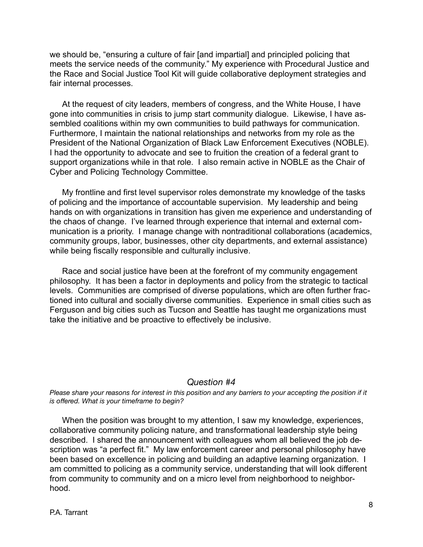we should be, "ensuring a culture of fair [and impartial] and principled policing that meets the service needs of the community." My experience with Procedural Justice and the Race and Social Justice Tool Kit will guide collaborative deployment strategies and fair internal processes.

 At the request of city leaders, members of congress, and the White House, I have gone into communities in crisis to jump start community dialogue. Likewise, I have assembled coalitions within my own communities to build pathways for communication. Furthermore, I maintain the national relationships and networks from my role as the President of the National Organization of Black Law Enforcement Executives (NOBLE). I had the opportunity to advocate and see to fruition the creation of a federal grant to support organizations while in that role. I also remain active in NOBLE as the Chair of Cyber and Policing Technology Committee.

 My frontline and first level supervisor roles demonstrate my knowledge of the tasks of policing and the importance of accountable supervision. My leadership and being hands on with organizations in transition has given me experience and understanding of the chaos of change. I've learned through experience that internal and external communication is a priority. I manage change with nontraditional collaborations (academics, community groups, labor, businesses, other city departments, and external assistance) while being fiscally responsible and culturally inclusive.

 Race and social justice have been at the forefront of my community engagement philosophy. It has been a factor in deployments and policy from the strategic to tactical levels. Communities are comprised of diverse populations, which are often further fractioned into cultural and socially diverse communities. Experience in small cities such as Ferguson and big cities such as Tucson and Seattle has taught me organizations must take the initiative and be proactive to effectively be inclusive.

## *Question #4*

*Please share your reasons for interest in this position and any barriers to your accepting the position if it is offered. What is your timeframe to begin?* 

When the position was brought to my attention, I saw my knowledge, experiences, collaborative community policing nature, and transformational leadership style being described. I shared the announcement with colleagues whom all believed the job description was "a perfect fit." My law enforcement career and personal philosophy have been based on excellence in policing and building an adaptive learning organization. I am committed to policing as a community service, understanding that will look different from community to community and on a micro level from neighborhood to neighborhood.